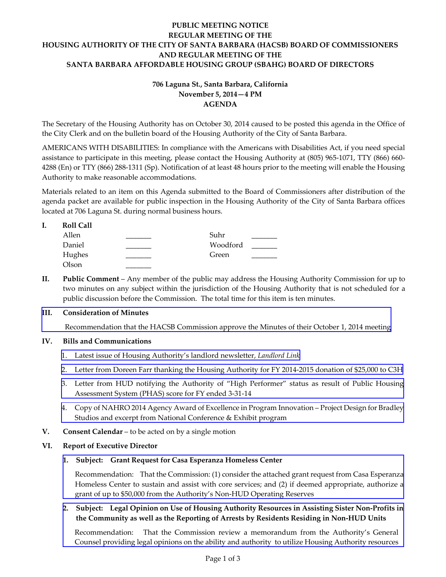# **PUBLIC MEETING NOTICE REGULAR MEETING OF THE HOUSING AUTHORITY OF THE CITY OF SANTA BARBARA (HACSB) BOARD OF COMMISSIONERS AND REGULAR MEETING OF THE SANTA BARBARA AFFORDABLE HOUSING GROUP (SBAHG) BOARD OF DIRECTORS**

# **706 Laguna St., Santa Barbara, California November 5, 2014—4 PM AGENDA**

The Secretary of the Housing Authority has on October 30, 2014 caused to be posted this agenda in the Office of the City Clerk and on the bulletin board of the Housing Authority of the City of Santa Barbara.

AMERICANS WITH DISABILITIES: In compliance with the Americans with Disabilities Act, if you need special assistance to participate in this meeting, please contact the Housing Authority at (805) 965-1071, TTY (866) 660- 4288 (En) or TTY (866) 288-1311 (Sp). Notification of at least 48 hours prior to the meeting will enable the Housing Authority to make reasonable accommodations.

Materials related to an item on this Agenda submitted to the Board of Commissioners after distribution of the agenda packet are available for public inspection in the Housing Authority of the City of Santa Barbara offices located at 706 Laguna St. during normal business hours.

| <b>Roll Call</b> |          |  |
|------------------|----------|--|
| Allen            | Suhr     |  |
| Daniel           | Woodford |  |
| Hughes           | Green    |  |
| Olson            |          |  |

**II. Public Comment** – Any member of the public may address the Housing Authority Commission for up to two minutes on any subject within the jurisdiction of the Housing Authority that is not scheduled for a public discussion before the Commission. The total time for this item is ten minutes.

### **III. Consideration of Minutes**

[Recommendation that the HACSB Commission approve the Minutes of their October 1, 2014 meeting](http://www.hacsb.org/Library/agendas_minutes/2014/agenda_packet/Agenda_Packet_2014_11_05/item_III_I_2014_11_05.pdf) 

### **IV. Bills and Communications**

- 1. [Latest issue of Housing Authority's landlord newsletter,](http://www.hacsb.org/Library/agendas_minutes/2014/agenda_packet/Agenda_Packet_2014_11_05/item_IV_I_2014_11_05.pdf) *Landlord Link*
- 2. [Letter from Doreen Farr thanking the Housing Authority for FY 2014-2015 donation of \\$25,000 to C3H](http://www.hacsb.org/Library/agendas_minutes/2014/agenda_packet/Agenda_Packet_2014_11_05/item_IV_II_2014_11_05.pdf)
- 3. [Letter from HUD notifying the Authority of "High Performer" status as result of Public Housing](http://www.hacsb.org/Library/agendas_minutes/2014/agenda_packet/Agenda_Packet_2014_11_05/item_IV_III_2014_11_05.pdf)  Assessment System (PHAS) score for FY ended 3-31-14
- 4. [Copy of NAHRO 2014 Agency Award of Excellence in Program Innovation Project Design for Bradley](http://www.hacsb.org/Library/agendas_minutes/2014/agenda_packet/Agenda_Packet_2014_11_05/item_IV_IV_2014_11_05.pdf) Studios and excerpt from National Conference & Exhibit program
- **V. Consent Calendar** to be acted on by a single motion

#### **VI. Report of Executive Director**

#### **1. Subject: Grant Request for Casa Esperanza Homeless Center**

Recommendation: That the Commission: (1) consider the attached grant request from Casa Esperanza [Homeless Center to sustain and assist with core services; and \(2\) if deemed appropriate, authorize a](http://www.hacsb.org/Library/agendas_minutes/2014/agenda_packet/Agenda_Packet_2014_11_05/item_VI_I_2014_11_05.pdf) grant of up to \$50,000 from the Authority's Non-HUD Operating Reserves

### **2. [Subject: Legal Opinion on Use of Housing Authority Resources in Assisting Sister Non-Profits in](http://www.hacsb.org/Library/agendas_minutes/2014/agenda_packet/Agenda_Packet_2014_11_05/item_VI_II_2014_11_05.pdf) the Community as well as the Reporting of Arrests by Residents Residing in Non-HUD Units**

Recommendation: That the Commission review a memorandum from the Authority's General Counsel providing legal opinions on the ability and authority to utilize Housing Authority resources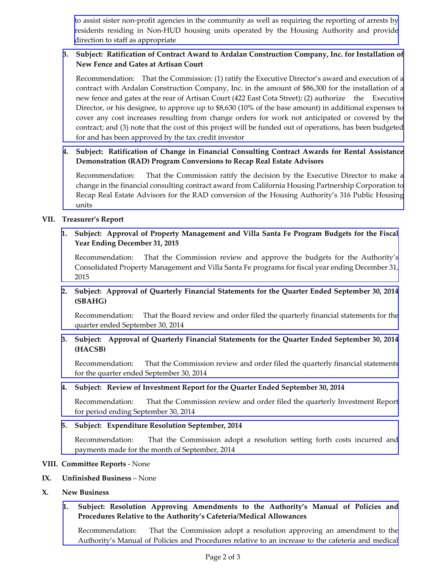[to assist sister non-profit agencies in the community as well as requiring the reporting of arrests by](http://www.hacsb.org/Library/agendas_minutes/2014/agenda_packet/Agenda_Packet_2014_11_05/item_VI_II_2014_11_05.pdf) residents residing in Non-HUD housing units operated by the Housing Authority and provide direction to staff as appropriate

## **3. Subject: Ratification of Contract Award to Ardalan Construction Company, Inc. for Installation of New Fence and Gates at Artisan Court**

[Recommendation: That the Commission: \(1\) ratify the Executive Director's award and execution of a](http://www.hacsb.org/Library/agendas_minutes/2014/agenda_packet/Agenda_Packet_2014_11_05/item_VI_III_2014_11_05.pdf) contract with Ardalan Construction Company, Inc. in the amount of \$86,300 for the installation of a new fence and gates at the rear of Artisan Court (422 East Cota Street); (2) authorize the Executive Director, or his designee, to approve up to \$8,630 (10% of the base amount) in additional expenses to cover any cost increases resulting from change orders for work not anticipated or covered by the contract; and (3) note that the cost of this project will be funded out of operations, has been budgeted for and has been approved by the tax credit investor

## **4. [Subject: Ratification of Change in Financial Consulting Contract Awards for Rental Assistance](http://www.hacsb.org/Library/agendas_minutes/2014/agenda_packet/Agenda_Packet_2014_11_05/item_VI_IV_2014_11_05.pdf) Demonstration (RAD) Program Conversions to Recap Real Estate Advisors**

Recommendation: That the Commission ratify the decision by the Executive Director to make a change in the financial consulting contract award from California Housing Partnership Corporation to Recap Real Estate Advisors for the RAD conversion of the Housing Authority's 316 Public Housing units

### **VII. Treasurer's Report**

## **1. [Subject: Approval of Property Management and Villa Santa Fe Program Budgets for the Fiscal](http://www.hacsb.org/Library/agendas_minutes/2014/agenda_packet/Agenda_Packet_2014_11_05/item_VII_I_2014_11_05.pdf) Year Ending December 31, 2015**

Recommendation: That the Commission review and approve the budgets for the Authority's Consolidated Property Management and Villa Santa Fe programs for fiscal year ending December 31, 2015

## **2. Subject: Approval of Quarterly Financial Statements for the Quarter Ended September 30, 2014 (SBAHG)**

[Recommendation: That the Board review and order filed the quarterly financial statements for the](http://www.hacsb.org/Library/agendas_minutes/2014/agenda_packet/Agenda_Packet_2014_11_05/item_VII_II_2014_11_05.pdf) quarter ended September 30, 2014

## **3. Subject: Approval of Quarterly Financial Statements for the Quarter Ended September 30, 2014 (HACSB)**

[Recommendation: That the Commission review and order filed the quarterly financial statements](http://www.hacsb.org/Library/agendas_minutes/2014/agenda_packet/Agenda_Packet_2014_11_05/item_VII_III_2014_11_05.pdf) for the quarter ended September 30, 2014

### **4. Subject: Review of Investment Report for the Quarter Ended September 30, 2014**

[Recommendation: That the Commission review and order filed the quarterly Investment Report](http://www.hacsb.org/Library/agendas_minutes/2014/agenda_packet/Agenda_Packet_2014_11_05/item_VII_IV_2014_11_05.pdf) for period ending September 30, 2014

### **5. Subject: Expenditure Resolution September, 2014**

[Recommendation: That the Commission adopt a resolution setting forth costs incurred and](http://www.hacsb.org/Library/agendas_minutes/2014/agenda_packet/Agenda_Packet_2014_11_05/item_VII_V_2014_11_05.pdf) payments made for the month of September, 2014

#### **VIII. Committee Reports** - None

#### **IX. Unfinished Business** – None

#### **X. New Business**

## **[1. Subject: Resolution Approving Amendments to the Authority's Manual of Policies and](http://www.hacsb.org/Library/agendas_minutes/2014/agenda_packet/Agenda_Packet_2014_11_05/item_X_I_2014_11_05.pdf) Procedures Relative to the Authority's Cafeteria/Medical Allowances**

Recommendation: That the Commission adopt a resolution approving an amendment to the Authority's Manual of Policies and Procedures relative to an increase to the cafeteria and medical